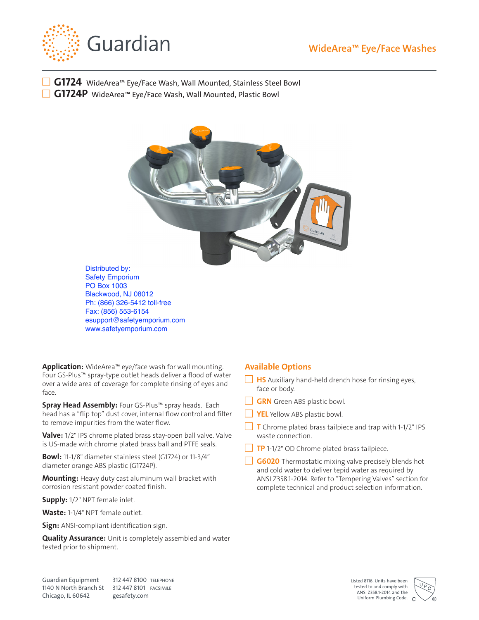



■ G1724 WideArea™ Eye/Face Wash, Wall Mounted, Stainless Steel Bowl ■ G1724P WideArea<sup>™</sup> Eye/Face Wash, Wall Mounted, Plastic Bowl



Distributed by: Safety Emporium PO Box 1003 Blackwood, NJ 08012 Ph: (866) 326-5412 toll-free Fax: (856) 553-6154 esupport@safetyemporium.com www.safetyemporium.com

**Application:** WideArea™ eye/face wash for wall mounting. Four GS-Plus™ spray-type outlet heads deliver a flood of water over a wide area of coverage for complete rinsing of eyes and face.

**Spray Head Assembly:** Four GS-Plus™ spray heads. Each head has a "flip top" dust cover, internal flow control and filter to remove impurities from the water flow.

**Valve:** 1/2" IPS chrome plated brass stay-open ball valve. Valve is US-made with chrome plated brass ball and PTFE seals.

**Bowl:** 11-1/8" diameter stainless steel (G1724) or 11-3/4" diameter orange ABS plastic (G1724P).

**Mounting:** Heavy duty cast aluminum wall bracket with corrosion resistant powder coated finish.

**Supply:** 1/2" NPT female inlet.

**Waste:** 1-1/4" NPT female outlet.

**Sign:** ANSI-compliant identification sign.

**Quality Assurance:** Unit is completely assembled and water tested prior to shipment.

## **Available Options**

- **HS** Auxiliary hand-held drench hose for rinsing eyes, face or body.
- **GRN** Green ABS plastic bowl.
- **YEL** Yellow ABS plastic bowl.
- **T** Chrome plated brass tailpiece and trap with 1-1/2" IPS waste connection.
- **TP** 1-1/2" OD Chrome plated brass tailpiece.
- G6020 Thermostatic mixing valve precisely blends hot and cold water to deliver tepid water as required by ANSI Z358.1-2014. Refer to "Tempering Valves" section for complete technical and product selection information.